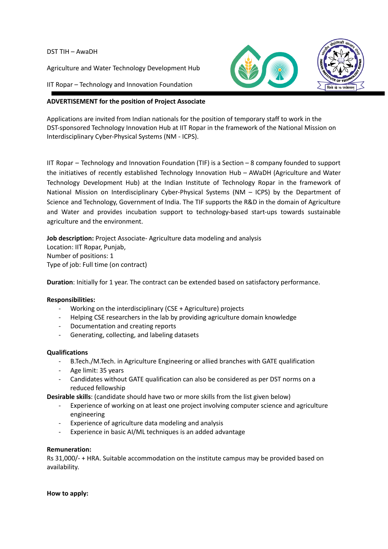DST TIH – AwaDH

Agriculture and Water Technology Development Hub

IIT Ropar – Technology and Innovation Foundation



Applications are invited from Indian nationals for the position of temporary staff to work in the DST-sponsored Technology Innovation Hub at IIT Ropar in the framework of the National Mission on Interdisciplinary Cyber-Physical Systems (NM - ICPS).

IIT Ropar – Technology and Innovation Foundation (TIF) is a Section – 8 company founded to support the initiatives of recently established Technology Innovation Hub – AWaDH (Agriculture and Water Technology Development Hub) at the Indian Institute of Technology Ropar in the framework of National Mission on Interdisciplinary Cyber-Physical Systems (NM – ICPS) by the Department of Science and Technology, Government of India. The TIF supports the R&D in the domain of Agriculture and Water and provides incubation support to technology-based start-ups towards sustainable agriculture and the environment.

**Job description:** Project Associate- Agriculture data modeling and analysis Location: IIT Ropar, Punjab, Number of positions: 1 Type of job: Full time (on contract)

**Duration**: Initially for 1 year. The contract can be extended based on satisfactory performance.

## **Responsibilities:**

- Working on the interdisciplinary (CSE + Agriculture) projects
- Helping CSE researchers in the lab by providing agriculture domain knowledge
- Documentation and creating reports
- Generating, collecting, and labeling datasets

## **Qualifications**

- B.Tech./M.Tech. in Agriculture Engineering or allied branches with GATE qualification
- Age limit: 35 years
- Candidates without GATE qualification can also be considered as per DST norms on a reduced fellowship

**Desirable skills**: (candidate should have two or more skills from the list given below)

- Experience of working on at least one project involving computer science and agriculture engineering
- Experience of agriculture data modeling and analysis
- Experience in basic AI/ML techniques is an added advantage

## **Remuneration:**

Rs 31,000/- + HRA. Suitable accommodation on the institute campus may be provided based on availability.

**How to apply:**